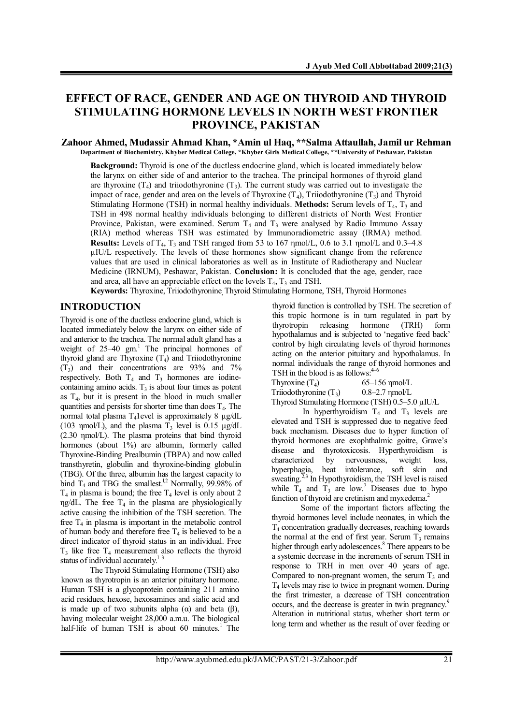# **EFFECT OF RACE, GENDER AND AGE ON THYROID AND THYROID STIMULATING HORMONE LEVELS IN NORTH WEST FRONTIER PROVINCE, PAKISTAN**

#### **Zahoor Ahmed, Mudassir Ahmad Khan, \*Amin ul Haq, \*\*Salma Attaullah, Jamil ur Rehman Department of Biochemistry, Khyber Medical College, \*Khyber Girls Medical College, \*\*University of Peshawar, Pakistan**

**Background:** Thyroid is one of the ductless endocrine gland, which is located immediately below the larynx on either side of and anterior to the trachea. The principal hormones of thyroid gland are thyroxine  $(T_4)$  and triiodothyronine  $(T_3)$ . The current study was carried out to investigate the impact of race, gender and area on the levels of Thyroxine  $(T_4)$ , Triiodothyronine  $(T_3)$  and Thyroid Stimulating Hormone (TSH) in normal healthy individuals. **Methods:** Serum levels of  $T_4$ ,  $T_3$  and TSH in 498 normal healthy individuals belonging to different districts of North West Frontier Province, Pakistan, were examined. Serum  $T_4$  and  $T_3$  were analysed by Radio Immuno Assay (RIA) method whereas TSH was estimated by Immunoradiometric assay (IRMA) method. **Results:** Levels of  $T_4$ ,  $T_3$  and TSH ranged from 53 to 167  $\mu$ mol/L, 0.6 to 3.1  $\mu$ mol/L and 0.3–4.8 µIU/L respectively. The levels of these hormones show significant change from the reference values that are used in clinical laboratories as well as in Institute of Radiotherapy and Nuclear Medicine (IRNUM), Peshawar, Pakistan. **Conclusion:** It is concluded that the age, gender, race and area, all have an appreciable effect on the levels  $T_4$ ,  $T_3$  and TSH.

Keywords: Thyroxine, Triiodothyronine<sub>,</sub> Thyroid Stimulating Hormone, TSH, Thyroid Hormones

## **INTRODUCTION**

Thyroid is one of the ductless endocrine gland, which is located immediately below the larynx on either side of and anterior to the trachea. The normal adult gland has a weight of 25-40 gm.<sup>1</sup> The principal hormones of thyroid gland are Thyroxine  $(T_4)$  and Triiodothyronine  $(T_3)$  and their concentrations are 93% and 7% respectively. Both  $T_4$  and  $T_3$  hormones are iodinecontaining amino acids.  $T_3$  is about four times as potent as  $T<sub>4</sub>$ , but it is present in the blood in much smaller quantities and persists for shorter time than does  $T<sub>4</sub>$ . The normal total plasma T41evel is approximately 8 µg/dL (103 ηmol/L), and the plasma  $T_3$  level is 0.15  $\mu$ g/dL (2.30 ηmol/L). The plasma proteins that bind thyroid hormones (about 1%) are albumin, formerly called Thyroxine-Binding Prealbumin (TBPA) and now called transthyretin, globulin and thyroxine-binding globulin (TBG). Of the three, albumin has the largest capacity to bind  $T_4$  and TBG the smallest.<sup>1,2</sup> Normally, 99.98% of  $T_4$  in plasma is bound; the free  $T_4$  level is only about 2 ηg/dL. The free  $T_4$  in the plasma are physiologically active causing the inhibition of the TSH secretion. The free  $T_4$  in plasma is important in the metabolic control of human body and therefore free  $T_4$  is believed to be a direct indicator of thyroid status in an individual. Free  $T_3$  like free  $T_4$  measurement also reflects the thyroid status of individual accurately. $\frac{1}{3}$ 

The Thyroid Stimulating Hormone (TSH) also known as thyrotropin is an anterior pituitary hormone. Human TSH is a glycoprotein containing 211 amino acid residues, hexose, hexosamines and sialic acid and is made up of two subunits alpha  $(α)$  and beta  $(β)$ , having molecular weight 28,000 a.m.u. The biological half-life of human TSH is about 60 minutes.<sup>1</sup> The thyroid function is controlled by TSH. The secretion of this tropic hormone is in turn regulated in part by thyrotropin releasing hormone (TRH) form hypothalamus and is subjected to 'negative feed back' control by high circulating levels of thyroid hormones acting on the anterior pituitary and hypothalamus. In normal individuals the range of thyroid hormones and TSH in the blood is as follows: $4-6$ 

Thyroxine  $(T_4)$  65–156 ηmol/L<br>Triiodothyronine  $(T_3)$  0.8–2.7 ηmol/L Triiodothyronine  $(T_3)$ .

Thyroid Stimulating Hormone (TSH) 0.5–5.0 µIU/L In hyperthyroidism  $T_4$  and  $T_3$  levels are elevated and TSH is suppressed due to negative feed back mechanism. Diseases due to hyper function of thyroid hormones are exophthalmic goitre, Grave's disease and thyrotoxicosis. Hyperthyroidism is characterized by nervousness, weight loss, hyperphagia, heat intolerance, soft skin and sweating.<sup>2,3</sup> In Hypothyroidism, the TSH level is raised while  $T_4$  and  $T_3$  are low.<sup>7</sup> Diseases due to hypo function of thyroid are cretinism and myxedema.<sup>2</sup>

Some of the important factors affecting the thyroid hormones level include neonates, in which the T4 concentration gradually decreases, reaching towards the normal at the end of first year. Serum  $T_3$  remains higher through early adolescences.<sup>8</sup> There appears to be a systemic decrease in the increments of serum TSH in response to TRH in men over 40 years of age. Compared to non-pregnant women, the serum  $T_3$  and  $T_4$  levels may rise to twice in pregnant women. During the first trimester, a decrease of TSH concentration occurs, and the decrease is greater in twin pregnancy.<sup>9</sup> Alteration in nutritional status, whether short term or long term and whether as the result of over feeding or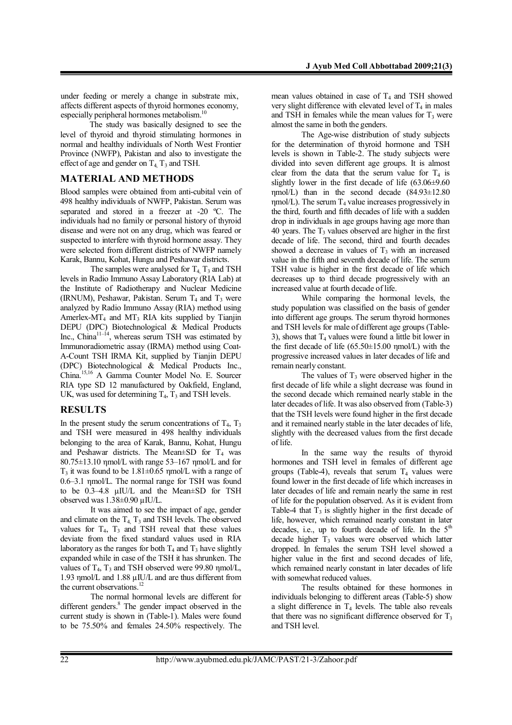under feeding or merely a change in substrate mix, affects different aspects of thyroid hormones economy, especially peripheral hormones metabolism.<sup>10</sup>

The study was basically designed to see the level of thyroid and thyroid stimulating hormones in normal and healthy individuals of North West Frontier Province (NWFP), Pakistan and also to investigate the effect of age and gender on  $T_4$ ,  $T_3$  and TSH.

### **MATERIAL AND METHODS**

Blood samples were obtained from anti-cubital vein of 498 healthy individuals of NWFP, Pakistan. Serum was separated and stored in a freezer at -20 ºC. The individuals had no family or personal history of thyroid disease and were not on any drug, which was feared or suspected to interfere with thyroid hormone assay. They were selected from different districts of NWFP namely Karak, Bannu, Kohat, Hungu and Peshawar districts.

The samples were analysed for  $T_4$ ,  $T_3$  and TSH levels in Radio Immuno Assay Laboratory (RIA Lab) at the Institute of Radiotherapy and Nuclear Medicine (IRNUM), Peshawar, Pakistan. Serum  $T_4$  and  $T_3$  were analyzed by Radio Immuno Assay (RIA) method using Amerlex-MT<sub>4</sub> and MT<sub>3</sub> RIA kits supplied by Tianjin DEPU (DPC) Biotechnological & Medical Products Inc., China<sup>11–14</sup>, whereas serum TSH was estimated by Immunoradiometric assay (IRMA) method using Coat-A-Count TSH IRMA Kit, supplied by Tianjin DEPU (DPC) Biotechnological & Medical Products Inc., China. 15,16 A Gamma Counter Model No. E. Sourcer RIA type SD 12 manufactured by Oakfield, England, UK, was used for determining  $T_4$ ,  $T_3$  and TSH levels.

## **RESULTS**

In the present study the serum concentrations of  $T_4$ ,  $T_3$ and TSH were measured in 498 healthy individuals belonging to the area of Karak, Bannu, Kohat, Hungu and Peshawar districts. The Mean $\pm$ SD for T<sub>4</sub> was 80.75±13.10 ηmol/L with range 53–167 ηmol/L and for  $T_3$  it was found to be 1.81 $\pm$ 0.65 nmol/L with a range of 0.6–3.1 ηmol/L. The normal range for TSH was found to be 0.3–4.8 µIU/L and the Mean±SD for TSH observed was 1.38±0.90 µIU/L.

It was aimed to see the impact of age, gender and climate on the  $T_4$ ,  $T_3$  and TSH levels. The observed values for  $T_4$ ,  $T_3$  and TSH reveal that these values deviate from the fixed standard values used in RIA laboratory as the ranges for both  $T_4$  and  $T_3$  have slightly expanded while in case of the TSH it has shrunken. The values of  $T_4$ ,  $T_3$  and TSH observed were 99.80 ηmol/L, 1.93 ηmol/L and 1.88 µIU/L and are thus different from the current observations.<sup>12</sup>

The normal hormonal levels are different for different genders.<sup>8</sup> The gender impact observed in the current study is shown in (Table-1). Males were found to be 75.50% and females 24.50% respectively. The

mean values obtained in case of  $T_4$  and TSH showed very slight difference with elevated level of  $T_4$  in males and TSH in females while the mean values for  $T_3$  were almost the same in both the genders.

The Age-wise distribution of study subjects for the determination of thyroid hormone and TSH levels is shown in Table-2. The study subjects were divided into seven different age groups. It is almost clear from the data that the serum value for  $T_4$  is slightly lower in the first decade of life  $(63.06\pm9.60)$  $\text{qmol/L}$ ) than in the second decade (84.93 $\pm$ 12.80  $ηmol/L$ ). The serum  $T_4$  value increases progressively in the third, fourth and fifth decades of life with a sudden drop in individuals in age groups having age more than 40 years. The  $T_3$  values observed are higher in the first decade of life. The second, third and fourth decades showed a decrease in values of  $T<sub>3</sub>$  with an increased value in the fifth and seventh decade of life. The serum TSH value is higher in the first decade of life which decreases up to third decade progressively with an increased value at fourth decade of life.

While comparing the hormonal levels, the study population was classified on the basis of gender into different age groups. The serum thyroid hormones and TSH levels for male of different age groups (Table-3), shows that  $T_4$  values were found a little bit lower in the first decade of life  $(65.50\pm15.00 \text{ \textmu mol/L})$  with the progressive increased values in later decades of life and remain nearly constant.

The values of  $T_3$  were observed higher in the first decade of life while a slight decrease was found in the second decade which remained nearly stable in the later decades of life. It was also observed from (Table-3) that the TSH levels were found higher in the first decade and it remained nearly stable in the later decades of life, slightly with the decreased values from the first decade of life.

In the same way the results of thyroid hormones and TSH level in females of different age groups (Table-4), reveals that serum  $T_4$  values were found lower in the first decade of life which increases in later decades of life and remain nearly the same in rest of life for the population observed. As it is evident from Table-4 that  $T_3$  is slightly higher in the first decade of life, however, which remained nearly constant in later decades, i.e., up to fourth decade of life. In the  $5<sup>th</sup>$ decade higher  $T<sub>3</sub>$  values were observed which latter dropped. In females the serum TSH level showed a higher value in the first and second decades of life. which remained nearly constant in later decades of life with somewhat reduced values.

The results obtained for these hormones in individuals belonging to different areas (Table-5) show a slight difference in  $T_4$  levels. The table also reveals that there was no significant difference observed for  $T_3$ and TSH level.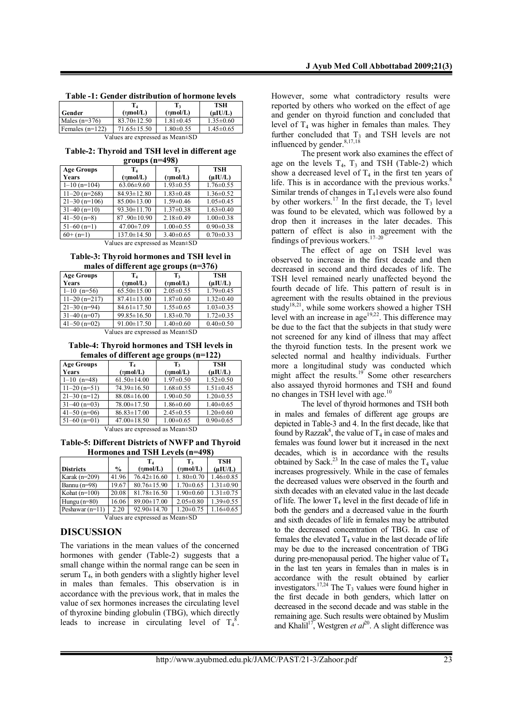| Table -1: Gender distribution of hormone levels |  |  |  |  |
|-------------------------------------------------|--|--|--|--|
|                                                 |  |  |  |  |

|                                       |                   | T,                    | TSH             |  |
|---------------------------------------|-------------------|-----------------------|-----------------|--|
| Gender                                | (mmol/L)          | $(\eta \text{mol/L})$ | $(\mu I U/L)$   |  |
| Males $(n=376)$                       | $83.70 \pm 12.50$ | $1.81 \pm 0.45$       | $1.35 \pm 0.60$ |  |
| Females $(n=122)$                     | $71.65 \pm 15.50$ | $1.80 \pm 0.55$       | $1.45 \pm 0.65$ |  |
| Values are expressed as Mean $\pm$ SD |                   |                       |                 |  |

**Table-2: Thyroid and TSH level in different age groups (n=498)**

| <b>Age Groups</b> | $T_{4}$               | T,                    | <b>TSH</b>      |  |
|-------------------|-----------------------|-----------------------|-----------------|--|
| Years             | $(\eta \text{mol/L})$ | $(\eta \text{mol/L})$ | $(\mu I U/L)$   |  |
| $1-10(n=104)$     | $63.06 \pm 9.60$      | $1.93 \pm 0.55$       | $1.76 \pm 0.55$ |  |
| $11-20$ (n=268)   | $84.93 \pm 12.80$     | $1.83 \pm 0.48$       | $1.36 \pm 0.52$ |  |
| $21 - 30$ (n=106) | 85.00 ± 13.00         | $1.59 \pm 0.46$       | $1.05 \pm 0.45$ |  |
| $31-40$ (n=10)    | $93.30 \pm 11.70$     | $1.37\pm0.38$         | $1.63 \pm 0.40$ |  |
| $41 - 50$ (n=8)   | 87.90±10.90           | $2.18 \pm 0.49$       | $1.00 \pm 0.38$ |  |
| $51-60$ (n=1)     | $47.00 \pm 7.09$      | $1.00 \pm 0.55$       | $0.90 \pm 0.38$ |  |
| $60+$ (n=1)       | $137.0 \pm 14.50$     | $3.40\pm0.65$         | $0.70 \pm 0.33$ |  |

Values are expressed as Mean±SD

**Table-3: Thyroid hormones and TSH level in males of different age groups (n=376)**

| marcs of univertificate groups (if $370$ )                 |                   |                       |                 |  |
|------------------------------------------------------------|-------------------|-----------------------|-----------------|--|
| <b>Age Groups</b>                                          | T.                | $T_{3}$               | TSH             |  |
| Years                                                      | (mmol/L)          | $(\eta \text{mol/L})$ | $(\mu I U/L)$   |  |
| $1-10$ (n=56)                                              | $65.50 \pm 15.00$ | $2.05 \pm 0.55$       | $1.79 \pm 0.45$ |  |
| $11-20(n=217)$                                             | $87.41 \pm 13.00$ | $1.87 \pm 0.60$       | $1.32 \pm 0.40$ |  |
| $21 - 30$ (n=94)                                           | $84.61 \pm 17.50$ | $1.55 \pm 0.65$       | $1.03 \pm 0.35$ |  |
| $31-40$ (n=07)                                             | $99.85 \pm 16.50$ | $1.83 \pm 0.70$       | $1.72 \pm 0.35$ |  |
| $41 - 50$ (n=02)                                           | $91.00 \pm 17.50$ | $1.40\pm0.60$         | $0.40 \pm 0.50$ |  |
| $V_{\text{other}}$ and approached as $M_{\text{cent}}(SD)$ |                   |                       |                 |  |

Values are expressed as Mean±SD

**Table-4: Thyroid hormones and TSH levels in females of different age groups (n=122)**

| <b>Age Groups</b> | T4                    | T,                                           | <b>TSH</b>      |  |
|-------------------|-----------------------|----------------------------------------------|-----------------|--|
| Years             | $(\eta \text{mol/L})$ | $(\eta \text{mol/L})$                        | $(\mu I U/L)$   |  |
| $1-10$ (n=48)     | $61.50 \pm 14.00$     | $1.97 \pm 0.50$                              | $1.52 \pm 0.50$ |  |
| $11-20(n=51)$     | 74.39±16.50           | $1.68 \pm 0.55$                              | $1.51 \pm 0.45$ |  |
| $21 - 30(n=12)$   | $88.08 \pm 16.00$     | $1.90 \pm 0.50$                              | $1.20 \pm 0.55$ |  |
| $31-40$ (n=03)    | 78.00±17.50           | $1.86 \pm 0.60$                              | $1.40 \pm 0.65$ |  |
| $41 - 50$ (n=06)  | $86.83 \pm 17.00$     | $2.45 \pm 0.55$                              | $1.20 \pm 0.60$ |  |
| $51-60$ (n=01)    | $47.00 \pm 18.50$     | $1.00 \pm 0.65$                              | $0.90 \pm 0.65$ |  |
|                   | <b>TT 1</b>           | х.<br>$\mathbf{r}$ $\mathbf{r}$ $\mathbf{r}$ |                 |  |

Values are expressed as Mean±SD

**Table-5: Different Districts of NWFP and Thyroid Hormones and TSH Levels (n=498)**

|                   |               | T <sub>4</sub>    | T,                    | <b>TSH</b>      |
|-------------------|---------------|-------------------|-----------------------|-----------------|
| <b>Districts</b>  | $\frac{0}{0}$ | (mmol/L)          | $(\eta \text{mol/L})$ | (uIU/L)         |
| Karak $(n=209)$   | 41.96         | $76.42 \pm 16.60$ | $1.80 \pm 0.70$       | $1.46 \pm 0.85$ |
| Bannu $(n=98)$    | 19.67         | $80.76 \pm 15.90$ | $1.70 \pm 0.65$       | $1.31 \pm 0.90$ |
| Kohat $(n=100)$   | 20.08         | $81.78 \pm 16.50$ | $1.90 \pm 0.60$       | $1.31 \pm 0.75$ |
| Hungu $(n=80)$    | 16.06         | $89.00 \pm 17.00$ | $2.05 \pm 0.80$       | $1.39 \pm 0.55$ |
| Peshawar $(n=11)$ | 2.20          | $92.90 \pm 14.70$ | $1.20 \pm 0.75$       | $1.16 \pm 0.65$ |

Values are expressed as Mean±SD

## **DISCUSSION**

The variations in the mean values of the concerned hormones with gender (Table-2) suggests that a small change within the normal range can be seen in serum  $T_4$ , in both genders with a slightly higher level in males than females. This observation is in accordance with the previous work, that in males the value of sex hormones increases the circulating level of thyroxine binding globulin (TBG), which directly leads to increase in circulating level of  $T_4^8$ . However, some what contradictory results were reported by others who worked on the effect of age and gender on thyroid function and concluded that level of  $T_4$  was higher in females than males. They further concluded that  $T_3$  and TSH levels are not influenced by gender. 8,17,18

The present work also examines the effect of age on the levels  $T_4$ ,  $T_3$  and TSH (Table-2) which show a decreased level of  $T_4$  in the first ten years of life. This is in accordance with the previous works.<sup>8</sup> Similar trends of changes in  $T<sub>4</sub>$  levels were also found by other workers.<sup>17</sup> In the first decade, the  $T_3$  level was found to be elevated, which was followed by a drop then it increases in the later decades. This pattern of effect is also in agreement with the findings of previous workers. $17-20$ 

The effect of age on TSH level was observed to increase in the first decade and then decreased in second and third decades of life. The TSH level remained nearly unaffected beyond the fourth decade of life. This pattern of result is in agreement with the results obtained in the previous study<sup>18,21</sup>, while some workers showed a higher TSH level with an increase in age<sup>19,22</sup>. This difference may be due to the fact that the subjects in that study were not screened for any kind of illness that may affect the thyroid function tests. In the present work we selected normal and healthy individuals. Further more a longitudinal study was conducted which might affect the results.<sup>19</sup> Some other researchers also assayed thyroid hormones and TSH and found no changes in TSH level with age.<sup>10</sup>

The level of thyroid hormones and TSH both in males and females of different age groups are depicted in Table-3 and 4. In the first decade, like that found by Razzak<sup>8</sup>, the value of  $T_4$  in case of males and females was found lower but it increased in the next decades, which is in accordance with the results obtained by Sack.<sup>23</sup> In the case of males the  $T_4$  value increases progressively. While in the case of females the decreased values were observed in the fourth and sixth decades with an elevated value in the last decade of life. The lower  $T_4$  level in the first decade of life in both the genders and a decreased value in the fourth and sixth decades of life in females may be attributed to the decreased concentration of TBG. In case of females the elevated  $T_4$  value in the last decade of life may be due to the increased concentration of TBG during pre-menopausal period. The higher value of  $T_4$ in the last ten years in females than in males is in accordance with the result obtained by earlier investigators.<sup>17,24</sup> The  $T_3$  values were found higher in the first decade in both genders, which latter on decreased in the second decade and was stable in the remaining age. Such results were obtained by Muslim and Khalil<sup>17</sup>, Westgren *et al*<sup>20</sup>. A slight difference was